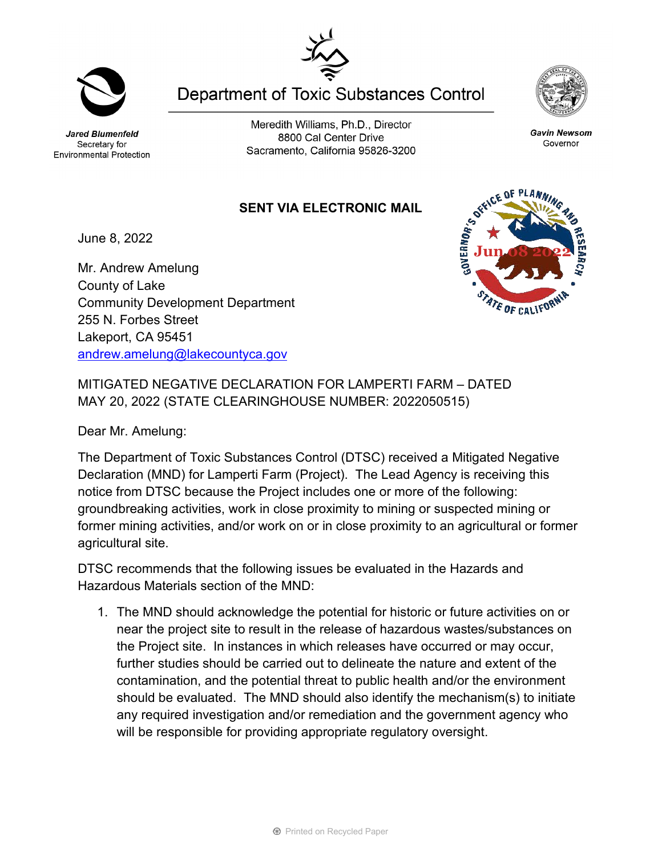Jared Blumenfeld Secretary for Environmental Protection

Meredith Williams, Ph.D., Director 8800 Cal Center Drive Sacramento, California 95826-3200

**SENT VIA ELECTRONIC MAIL**

June 8, 2022

Mr. Andrew Amelung County of Lake Community Development Department 255 N. Forbes Street Lakeport, CA 95451 [andrew.amelung@lakecountyca.gov](mailto:andrew.amelung@lakecountyca.gov)

MITIGATED NEGATIVE DECLARATION FOR LAMPERTI FARM – DATED MAY 20, 2022 (STATE CLEARINGHOUSE NUMBER: 2022050515)

Dear Mr. Amelung:

The Department of Toxic Substances Control (DTSC) received a Mitigated Negative Declaration (MND) for Lamperti Farm (Project). The Lead Agency is receiving this notice from DTSC because the Project includes one or more of the following: groundbreaking activities, work in close proximity to mining or suspected mining or former mining activities, and/or work on or in close proximity to an agricultural or former agricultural site.

DTSC recommends that the following issues be evaluated in the Hazards and Hazardous Materials section of the MND:

1. The MND should acknowledge the potential for historic or future activities on or near the project site to result in the release of hazardous wastes/substances on the Project site. In instances in which releases have occurred or may occur, further studies should be carried out to delineate the nature and extent of the contamination, and the potential threat to public health and/or the environment should be evaluated. The MND should also identify the mechanism(s) to initiate any required investigation and/or remediation and the government agency who will be responsible for providing appropriate regulatory oversight.



**Gavin Newsom** 

Governor